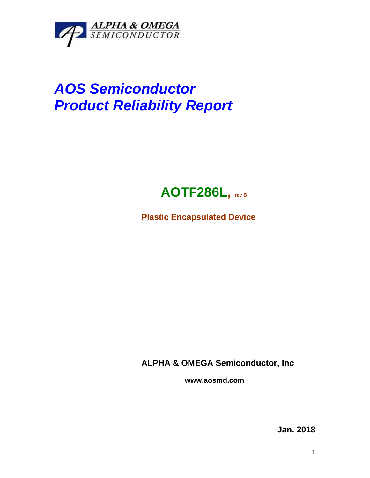

## *AOS Semiconductor Product Reliability Report*



**Plastic Encapsulated Device**

**ALPHA & OMEGA Semiconductor, Inc**

**www.aosmd.com**

**Jan. 2018**